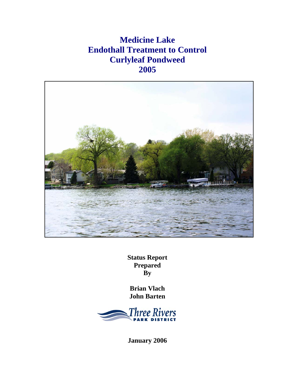# **Medicine Lake Endothall Treatment to Control Curlyleaf Pondweed 2005**



**Status Report Prepared By** 

**Brian Vlach John Barten** 



**January 2006**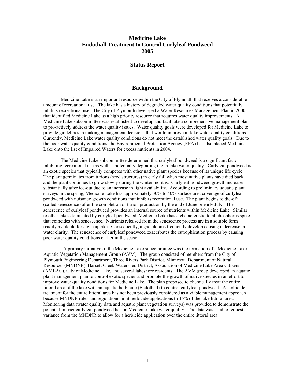## **Medicine Lake Endothall Treatment to Control Curlyleaf Pondweed 2005**

### **Status Report**

#### **Background**

Medicine Lake is an important resource within the City of Plymouth that receives a considerable amount of recreational use. The lake has a history of degraded water quality conditions that potentially inhibits recreational use. The City of Plymouth developed a Water Resources Management Plan in 2000 that identified Medicine Lake as a high priority resource that requires water quality improvements. A Medicine Lake subcommittee was established to develop and facilitate a comprehensive management plan to pro-actively address the water quality issues. Water quality goals were developed for Medicine Lake to provide guidelines in making management decisions that would improve in-lake water quality conditions. Currently, Medicine Lake water quality conditions do not meet the established water quality goals. Due to the poor water quality conditions, the Environmental Protection Agency (EPA) has also placed Medicine Lake onto the list of Impaired Waters for excess nutrients in 2004.

 The Medicine Lake subcommittee determined that curlyleaf pondweed is a significant factor inhibiting recreational use as well as potentially degrading the in-lake water quality. Curlyleaf pondweed is an exotic species that typically competes with other native plant species because of its unique life cycle. The plant germinates from turions (seed structures) in early fall when most native plants have died back, and the plant continues to grow slowly during the winter months. Curlyleaf pondweed growth increases substantially after ice-out due to an increase in light availability. According to preliminary aquatic plant surveys in the spring, Medicine Lake has approximately 30% to 40% surface area coverage of curlyleaf pondweed with nuisance growth conditions that inhibits recreational use. The plant begins to die-off (called senescence) after the completion of turion production by the end of June or early July. The senescence of curlyleaf pondweed provides an internal source of nutrients within Medicine Lake. Similar to other lakes dominated by curlyleaf pondweed, Medicine Lake has a characteristic total phosphorus spike that coincides with senescence. Nutrients released from the senescence process are in a soluble form readily available for algae uptake. Consequently, algae blooms frequently develop causing a decrease in water clarity. The senescence of curlyleaf pondweed exacerbates the eutrophication process by causing poor water quality conditions earlier in the season.

 A primary initiative of the Medicine Lake subcommittee was the formation of a Medicine Lake Aquatic Vegetation Management Group (AVM). The group consisted of members from the City of Plymouth Engineering Department, Three Rivers Park District, Minnesota Department of Natural Resources (MNDNR), Bassett Creek Watershed District, Association of Medicine Lake Area Citizens (AMLAC), City of Medicine Lake, and several lakeshore residents. The AVM group developed an aquatic plant management plan to control exotic species and promote the growth of native species in an effort to improve water quality conditions for Medicine Lake. The plan proposed to chemically treat the entire littoral area of the lake with an aquatic herbicide (Endothall) to control curlyleaf pondweed. A herbicide treatment for the entire littoral area has not been previously considered as a viable management approach because MNDNR rules and regulations limit herbicide applications to 15% of the lake littoral area. Monitoring data (water quality data and aquatic plant vegetation surveys) was provided to demonstrate the potential impact curlyleaf pondweed has on Medicine Lake water quality. The data was used to request a variance from the MNDNR to allow for a herbicide application over the entire littoral area.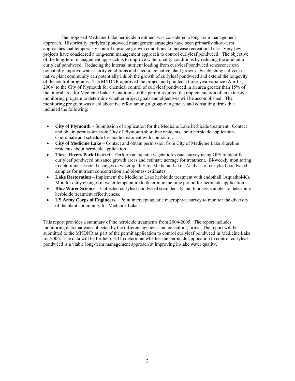The proposed Medicine Lake herbicide treatment was considered a long-term management approach. Historically, curlyleaf pondweed management strategies have been primarily short-term approaches that temporarily control nuisance growth conditions to increase recreational use. Very few projects have considered a long-term management approach to control curlyleaf pondweed. The objective of the long-term management approach is to improve water quality conditions by reducing the amount of curlyleaf pondweed. Reducing the internal nutrient loading from curlyleaf pondweed senescence can potentially improve water clarity conditions and encourage native plant growth. Establishing a diverse native plant community can potentially inhibit the growth of curlyleaf pondweed and extend the longevity of the control programs. The MNDNR approved the project and granted a three-year variance (April 5, 2004) to the City of Plymouth for chemical control of curlyleaf pondweed in an area greater than 15% of the littoral area for Medicine Lake. Conditions of the permit required the implementation of an extensive monitoring program to determine whether project goals and objectives will be accomplished. The monitoring program was a collaborative effort among a group of agencies and consulting firms that included the following:

- **City of Plymouth** Submission of application for the Medicine Lake herbicide treatment. Contact and obtain permission from City of Plymouth shoreline residents about herbicide application. Coordinate and schedule herbicide treatment with contractor.
- **City of Medicine Lake**  Contact and obtain permission from City of Medicine Lake shoreline residents about herbicide application.
- **Three Rivers Park District** Perform an aquatic vegetation visual survey using GPS to identify curlyleaf pondweed nuisance growth areas and estimate acreage for treatment. Bi-weekly monitoring to determine seasonal changes in water quality for Medicine Lake. Analysis of curlyleaf pondweed samples for nutrient concentration and biomass estimates.
- **Lake Restoration** Implement the Medicine Lake herbicide treatment with endothall (Aquathol-K). Monitor daily changes in water temperature to determine the time period for herbicide application.
- **Blue Water Science** Collected curlyleaf pondweed stem density and biomass samples to determine herbicide treatment effectiveness.
- **US Army Corps of Engineers** Point intercept aquatic macrophyte survey to monitor the diversity of the plant community for Medicine Lake.

This report provides a summary of the herbicide treatments from 2004-2005. The report includes monitoring data that was collected by the different agencies and consulting firms. The report will be submitted to the MNDNR as part of the permit application to control curlyleaf pondweed in Medicine Lake for 2006. The data will be further used to determine whether the herbicide application to control curlyleaf pondweed is a viable long-term management approach at improving in-lake water quality.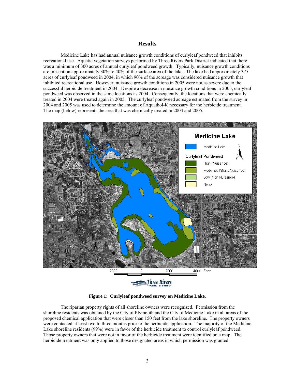### **Results**

 Medicine Lake has had annual nuisance growth conditions of curlyleaf pondweed that inhibits recreational use. Aquatic vegetation surveys performed by Three Rivers Park District indicated that there was a minimum of 300 acres of annual curlyleaf pondweed growth. Typically, nuisance growth conditions are present on approximately 30% to 40% of the surface area of the lake. The lake had approximately 375 acres of curlyleaf pondweed in 2004, in which 90% of the acreage was considered nuisance growth that inhibited recreational use. However, nuisance growth conditions in 2005 were not as severe due to the successful herbicide treatment in 2004. Despite a decrease in nuisance growth conditions in 2005, curlyleaf pondweed was observed in the same locations as 2004. Consequently, the locations that were chemically treated in 2004 were treated again in 2005. The curlyleaf pondweed acreage estimated from the survey in 2004 and 2005 was used to determine the amount of Aquathol-K necessary for the herbicide treatment. The map (below) represents the area that was chemically treated in 2004 and 2005.



**Figure 1: Curlyleaf pondweed survey on Medicine Lake.** 

The riparian property rights of all shoreline owners were recognized. Permission from the shoreline residents was obtained by the City of Plymouth and the City of Medicine Lake in all areas of the proposed chemical application that were closer than 150 feet from the lake shoreline. The property owners were contacted at least two to three months prior to the herbicide application. The majority of the Medicine Lake shoreline residents (99%) were in favor of the herbicide treatment to control curlyleaf pondweed. Those property owners that were not in favor of the herbicide treatment were identified on a map. The herbicide treatment was only applied to those designated areas in which permission was granted.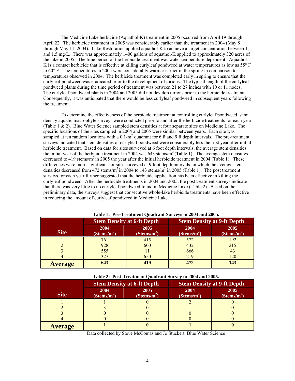The Medicine Lake herbicide (Aquathol-K) treatment in 2005 occurred from April 19 through April 22. The herbicide treatment in 2005 was considerably earlier than the treatment in 2004 (May 8 through May 11, 2004). Lake Restoration applied aquathol-K to achieve a target concentration between 1 and 1.5 mg/L. There was approximately 1400 gallons of aquathol-K applied to approximately 320 acres of the lake in 2005. The time period of the herbicide treatment was water temperature dependent. Aquathol-K is a contact herbicide that is effective at killing curlyleaf pondweed at water temperatures as low as 55° F to 60° F. The temperatures in 2005 were considerably warmer earlier in the spring in comparison to temperatures observed in 2004. The herbicide treatment was completed early in spring to ensure that the curlyleaf pondweed was eradicated prior to the development of turions. The typical length of the curlyleaf pondweed plants during the time period of treatment was between 21 to 27 inches with 10 or 11 nodes. The curlyleaf pondweed plants in 2004 and 2005 did not develop turions prior to the herbicide treatment. Consequently, it was anticipated that there would be less curlyleaf pondweed in subsequent years following the treatment.

To determine the effectiveness of the herbicide treatment at controlling curlyleaf pondweed, stem density aquatic macrophyte surveys were conducted prior to and after the herbicide treatments for each year (Table 1 & 2). Blue Water Science sampled stem densities at four separate sites on Medicine Lake. The specific locations of the sites sampled in 2004 and 2005 were similar between years. Each site was sampled at ten random locations with a  $0.1-m^2$  quadrant for 6 ft and 9 ft depth intervals. The pre-treatment surveys indicated that stem densities of curlyleaf pondweed were considerably less the first year after initial herbicide treatment. Based on data for sites surveyed at 6 foot depth intervals, the average stem densities the initial year of the herbicide treatment in 2004 was 643 stems/ $m^2$  (Table 1). The average stem densities decreased to 419 stems/ $m^2$  in 2005 the year after the initial herbicide treatment in 2004 (Table 1). These differences were more significant for sites surveyed at 9 foot depth intervals, in which the average stem densities decreased from 472 stems/m<sup>2</sup> in 2004 to 143 stems/m<sup>2</sup> in 2005 (Table 1). The post treatment surveys for each year further suggested that the herbicide application has been effective in killing the curlyleaf pondweed. After the herbicide treatments in 2004 and 2005, the post treatment surveys indicate that there was very little to no curlyleaf pondweed found in Medicine Lake (Table 2). Based on the preliminary data, the surveys suggest that consecutive whole-lake herbicide treatments have been effective in reducing the amount of curlyleaf pondweed in Medicine Lake.

|                |                                    | <b>Stem Density at 6-ft Depth</b>  | <b>Stem Density at 9-ft Depth</b>  |                                    |  |
|----------------|------------------------------------|------------------------------------|------------------------------------|------------------------------------|--|
| <b>Site</b>    | 2004<br>$(S$ tems/m <sup>2</sup> ) | 2005<br>$(S$ tems/m <sup>2</sup> ) | 2004<br>$(S$ tems/m <sup>2</sup> ) | 2005<br>$(S$ tems/m <sup>2</sup> ) |  |
|                | 761                                | 415                                | 572                                | 192                                |  |
|                | 928                                | 600                                | 432                                | 215                                |  |
|                | 555                                |                                    | 666                                |                                    |  |
|                | 327                                | 650                                | 219                                | 120                                |  |
| <b>Average</b> | 643                                | 419                                | 472                                | 143                                |  |

|  | Table 1: Pre-Treatment Quadrant Surveys in 2004 and 2005. |
|--|-----------------------------------------------------------|
|--|-----------------------------------------------------------|

| Table 2: Post-Treatment Quadrant Survey in 2004 and 2005. |  |  |  |
|-----------------------------------------------------------|--|--|--|
|-----------------------------------------------------------|--|--|--|

|                |                                    | <b>Stem Density at 6-ft Depth</b>  | <b>Stem Density at 9-ft Depth</b>  |                                    |  |  |
|----------------|------------------------------------|------------------------------------|------------------------------------|------------------------------------|--|--|
| <b>Site</b>    | 2004<br>$(S$ tems/m <sup>2</sup> ) | 2005<br>$(S$ tems/m <sup>2</sup> ) | 2004<br>$(S$ tems/m <sup>2</sup> ) | 2005<br>$(S$ tems/m <sup>2</sup> ) |  |  |
|                |                                    |                                    |                                    |                                    |  |  |
|                |                                    |                                    |                                    |                                    |  |  |
|                |                                    |                                    |                                    |                                    |  |  |
|                |                                    |                                    |                                    |                                    |  |  |
| <b>Average</b> |                                    |                                    |                                    |                                    |  |  |

Data collected by Steve McComas and Jo Stuckert, Blue Water Science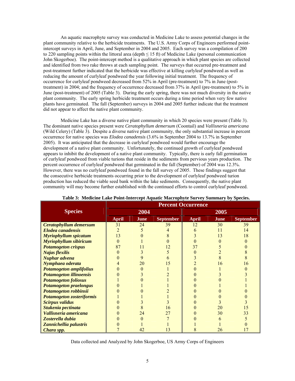An aquatic macrophyte survey was conducted in Medicine Lake to assess potential changes in the plant community relative to the herbicide treatments. The U.S. Army Corps of Engineers performed pointintercept surveys in April, June, and September in 2004 and 2005. Each survey was a compilation of 200 to 220 sampling points within the littoral area (depth  $\leq 15$  ft) of Medicine Lake (personal communication John Skogerboe). The point-intercept method is a qualitative approach in which plant species are collected and identified from two rake throws at each sampling point. The surveys that occurred pre-treatment and post-treatment further indicated that the herbicide was effective at killing curlyleaf pondweed as well as reducing the amount of curlyleaf pondweed the year following initial treatment. The frequency of occurrence for curlyleaf pondweed decreased from 52% in April (pre-treatment) to 7% in June (posttreatment) in 2004; and the frequency of occurrence decreased from 37% in April (pre-treatment) to 5% in June (post-treatment) of 2005 (Table 3). During the early spring, there was not much diversity in the native plant community. The early spring herbicide treatment occurs during a time period when very few native plants have germinated. The fall (September) surveys in 2004 and 2005 further indicate that the treatment did not appear to affect the native plant community.

Medicine Lake has a diverse native plant community in which 20 species were present (Table 3). The dominant native species present were *Ceratophyllum demersum* (Coontail) and *Vallisneria americana* (Wild Celery) (Table 3). Despite a diverse native plant community, the only substantial increase in percent occurrence for native species was *Elodea canadensis* (3.6% in September 2004 to 13.7% in September 2005). It was anticipated that the decrease in curlyleaf pondweed would further encourage the development of a native plant community. Unfortunately, the continued growth of curlyleaf pondweed appears to inhibit the development of a native plant community. Typically, there is early fall germination of curlyleaf pondweed from viable turions that reside in the sediments from pervious years production. The percent occurrence of curlyleaf pondweed that germinated in the fall (September) of 2004 was 12.3%. However, there was no curlyleaf pondweed found in the fall survey of 2005. These findings suggest that the consecutive herbicide treatments occurring prior to the development of curlyleaf pondweed turion production has reduced the viable seed bank within the lake sediments. Consequently, the native plant community will may become further established with the continued efforts to control curlyleaf pondweed.

|                                  | <b>Percent Occurrence</b> |      |                  |              |      |                  |
|----------------------------------|---------------------------|------|------------------|--------------|------|------------------|
| <b>Species</b>                   |                           | 2004 |                  |              | 2005 |                  |
|                                  | <b>April</b>              | June | <b>September</b> | <b>April</b> | June | <b>September</b> |
| <b>Ceratophyllum demersum</b>    | 31                        | 24   | 39               | 12           | 30   | 39               |
| <b>Elodea</b> canadensis         | $\overline{2}$            |      |                  | 6            | 11   | 14               |
| Myriophyllum spicatum            | 13                        |      |                  |              | 13   | 18               |
| <b>Myriophyllum sibiricum</b>    | $\theta$                  |      |                  |              |      |                  |
| <b>Potamogeton crispus</b>       | 87                        |      |                  | 37           |      |                  |
| <b>Najas flexilis</b>            |                           |      |                  |              |      |                  |
| Nuphar advena                    |                           |      |                  |              |      |                  |
| Nymphaea oderata                 |                           | 20   | 15               |              | 16   | 16               |
| <b>Potamogeton amplifolius</b>   |                           |      |                  |              |      |                  |
| <b>Potamogeton illinoensis</b>   |                           |      |                  |              |      |                  |
| <b>Potamogeton foliosus</b>      |                           |      |                  |              |      |                  |
| <b>Potamogeton praelongus</b>    |                           |      |                  |              |      |                  |
| Potamogeton robbinsii            |                           |      |                  |              |      |                  |
| <b>Potamogeton zosteriformis</b> |                           |      |                  |              |      |                  |
| <b>Scirpus validus</b>           |                           |      |                  |              |      |                  |
| Stukenia pectinata               |                           |      | 16               |              | 20   | 15               |
| Vallisneria americana            |                           | 24   | 27               |              | 30   | 33               |
| Zosterella dubia                 |                           |      |                  |              |      |                  |
| Zannichellia palustris           |                           |      |                  |              |      |                  |
| Chara spp.                       |                           | 42   | 13               | 8            | 26   | 17               |

#### **Table 3: Medicine Lake Point-Intercept Aquatic Macrophyte Survey Summary by Species.**

Data collected and Analyzed by John Skogerboe, US Army Corps of Engineers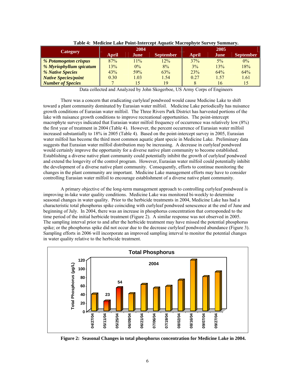| Category                     | 2004  |       |                  | 2005  |      |                  |
|------------------------------|-------|-------|------------------|-------|------|------------------|
|                              | April | June  | <b>September</b> | April | June | <b>September</b> |
| <i>% Potamogeton crispus</i> | 87%   | 11%   | 12%              | 37%   | 5%   | $0\%$            |
| % Myriophyllum spicatum      | 13%   | $0\%$ | 8%               | 3%    | 13%  | 18%              |
| % Native Species             | 43%   | 59%   | 63%              | 23%   | 64%  | 64%              |
| <b>Native Species/point</b>  | 0.30  | 1.03  | 1.54             | 0.27  | 1.57 | 1.61             |
| <b>Number of Species</b>     |       |       | 19               | 8     | 16   | 15               |

**Table 4: Medicine Lake Point-Intercept Aquatic Macrophyte Survey Summary.** 

Data collected and Analyzed by John Skogerboe, US Army Corps of Engineers

There was a concern that eradicating curlyleaf pondweed would cause Medicine Lake to shift toward a plant community dominated by Eurasian water milfoil. Medicine Lake periodically has nuisance growth conditions of Eurasian water milfoil. The Three Rivers Park District has harvested portions of the lake with nuisance growth conditions to improve recreational opportunities. The point-intercept macrophyte surveys indicated that Eurasian water milfoil frequency of occurrence was relatively low (8%) the first year of treatment in 2004 (Table 4). However, the percent occurrence of Eurasian water milfoil increased substantially to 18% in 2005 (Table 4). Based on the point-intercept survey in 2005, Eurasian water milfoil has become the third most common aquatic plant specie in Medicine Lake. Preliminary data suggests that Eurasian water milfoil distribution may be increasing. A decrease in curlyleaf pondweed would certainly improve the opportunity for a diverse native plant community to become established. Establishing a diverse native plant community could potentially inhibit the growth of curlyleaf pondweed and extend the longevity of the control program. However, Eurasian water milfoil could potentially inhibit the development of a diverse native plant community. Consequently, efforts to continue monitoring the changes in the plant community are important. Medicine Lake management efforts may have to consider controlling Eurasian water milfoil to encourage establishment of a diverse native plant community.

A primary objective of the long-term management approach to controlling curlyleaf pondweed is improving in-lake water quality conditions. Medicine Lake was monitored bi-weekly to determine seasonal changes in water quality. Prior to the herbicide treatments in 2004, Medicine Lake has had a characteristic total phosphorus spike coinciding with curlyleaf pondweed senescence at the end of June and beginning of July. In 2004, there was an increase in phosphorus concentration that corresponded to the time period of the initial herbicide treatment (Figure 2). A similar response was not observed in 2005. The sampling interval prior to and after the herbicide treatment may have missed the potential phosphorus spike; or the phosphorus spike did not occur due to the decrease curlyleaf pondweed abundance (Figure 3). Sampling efforts in 2006 will incorporate an improved sampling interval to monitor the potential changes in water quality relative to the herbicide treatment.



**Figure 2: Seasonal Changes in total phosphorus concentration for Medicine Lake in 2004.**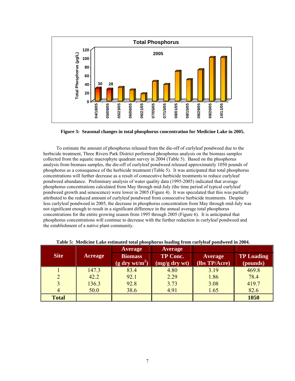

**Figure 3: Seasonal changes in total phosphorus concentration for Medicine Lake in 2005.** 

To estimate the amount of phosphorus released from the die-off of curlyleaf pondweed due to the herbicide treatment, Three Rivers Park District performed phosphorus analysis on the biomass samples collected from the aquatic macrophyte quadrant survey in 2004 (Table 5). Based on the phosphorus analysis from biomass samples, the die-off of curlyleaf pondweed released approximately 1050 pounds of phosphorus as a consequence of the herbicide treatment (Table 5). It was anticipated that total phosphorus concentrations will further decrease as a result of consecutive herbicide treatments to reduce curlyleaf pondweed abundance. Preliminary analysis of water quality data (1995-2005) indicated that average phosphorus concentrations calculated from May through mid-July (the time period of typical curlyleaf pondweed growth and senescence) were lower in 2005 (Figure 4). It was speculated that this was partially attributed to the reduced amount of curlyleaf pondweed from consecutive herbicide treatments. Despite less curlyleaf pondweed in 2005, the decrease in phosphorus concentration from May through mid-July was not significant enough to result in a significant difference in the annual average total phosphorus concentrations for the entire growing season from 1995 through 2005 (Figure 6). It is anticipated that phosphorus concentrations will continue to decrease with the further reduction in curlyleaf pondweed and the establishment of a native plant community.

|                        |       | <b>Average</b>         | <b>Average</b>  |               |                   |
|------------------------|-------|------------------------|-----------------|---------------|-------------------|
| <b>Site</b><br>Acreage |       | <b>Biomass</b>         | <b>TP Conc.</b> | Average       | <b>TP Loading</b> |
|                        |       | $(g \, dry \, wt/m^2)$ | (mg/g dry wt)   | (lbs TP/Acre) | (pounds)          |
|                        | 147.3 | 83.4                   | 4.80            | 3.19          | 469.8             |
|                        | 42.2  | 92.1                   | 2.29            | 1.86          | 78.4              |
|                        | 136.3 | 92.8                   | 3.73            | 3.08          | 419.7             |
|                        | 50.0  | 38.6                   | 4.91            | 1.65          | 82.6              |
| <b>Total</b>           |       |                        |                 |               | 1050              |

**Table 5: Medicine Lake estimated total phosphorus loading from curlyleaf pondweed in 2004.**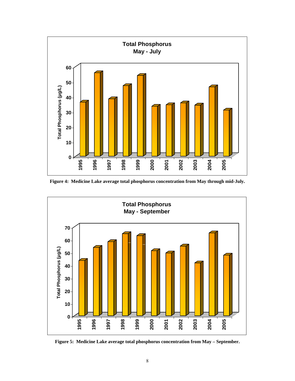

**Figure 4: Medicine Lake average total phosphorus concentration from May through mid-July.** 



**Figure 5: Medicine Lake average total phosphorus concentration from May – September.**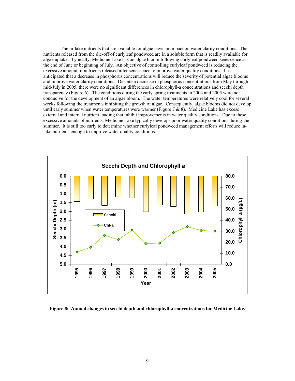The in-lake nutrients that are available for algae have an impact on water clarity conditions. The nutrients released from the die-off of curlyleaf pondweed are in a soluble form that is readily available for algae uptake. Typically, Medicine Lake has an algae bloom following curlyleaf pondweed senescence at the end of June or beginning of July. An objective of controlling curlyleaf pondweed is reducing the excessive amount of nutrients released after senescence to improve water quality conditions. It is anticipated that a decrease in phosphorus concentrations will reduce the severity of potential algae blooms and improve water clarity conditions. Despite a decrease in phosphorus concentrations from May through mid-July in 2005, there were no significant differences in chlorophyll-a concentrations and secchi depth transparency (Figure 6). The conditions during the early spring treatments in 2004 and 2005 were not conducive for the development of an algae bloom. The water temperatures were relatively cool for several weeks following the treatments inhibiting the growth of algae. Consequently, algae blooms did not develop until early summer when water temperatures were warmer (Figure  $7 & 8$  8). Medicine Lake has excess external and internal nutrient loading that inhibit improvements in water quality conditions. Due to these excessive amounts of nutrients, Medicine Lake typically develops poor water quality conditions during the summer. It is still too early to determine whether curlyleaf pondweed management efforts will reduce inlake nutrients enough to improve water quality conditions.



**Figure 6: Annual changes in secchi depth and chlorophyll-a concentrations for Medicine Lake.**